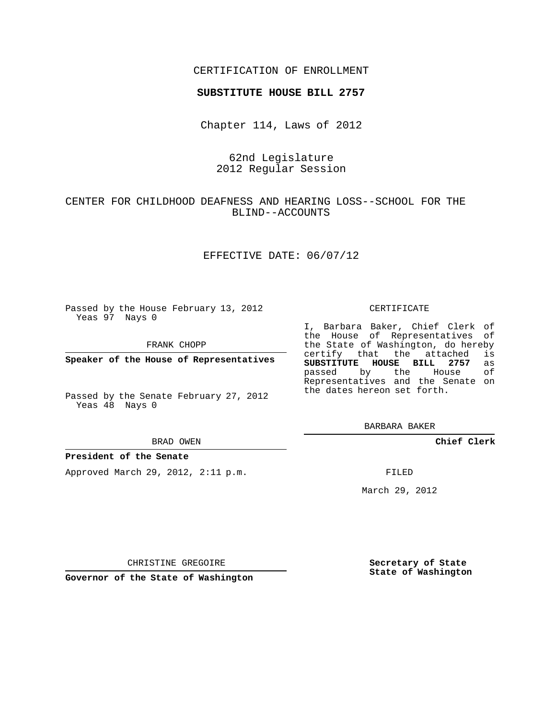## CERTIFICATION OF ENROLLMENT

#### **SUBSTITUTE HOUSE BILL 2757**

Chapter 114, Laws of 2012

# 62nd Legislature 2012 Regular Session

# CENTER FOR CHILDHOOD DEAFNESS AND HEARING LOSS--SCHOOL FOR THE BLIND--ACCOUNTS

## EFFECTIVE DATE: 06/07/12

Passed by the House February 13, 2012 Yeas 97 Nays 0

FRANK CHOPP

**Speaker of the House of Representatives**

Passed by the Senate February 27, 2012 Yeas 48 Nays 0

#### BRAD OWEN

### **President of the Senate**

Approved March 29, 2012, 2:11 p.m.

#### CERTIFICATE

I, Barbara Baker, Chief Clerk of the House of Representatives of the State of Washington, do hereby<br>certify that the attached is certify that the attached **SUBSTITUTE HOUSE BILL 2757** as passed by the House of Representatives and the Senate on the dates hereon set forth.

BARBARA BAKER

**Chief Clerk**

FILED

March 29, 2012

**Secretary of State State of Washington**

CHRISTINE GREGOIRE

**Governor of the State of Washington**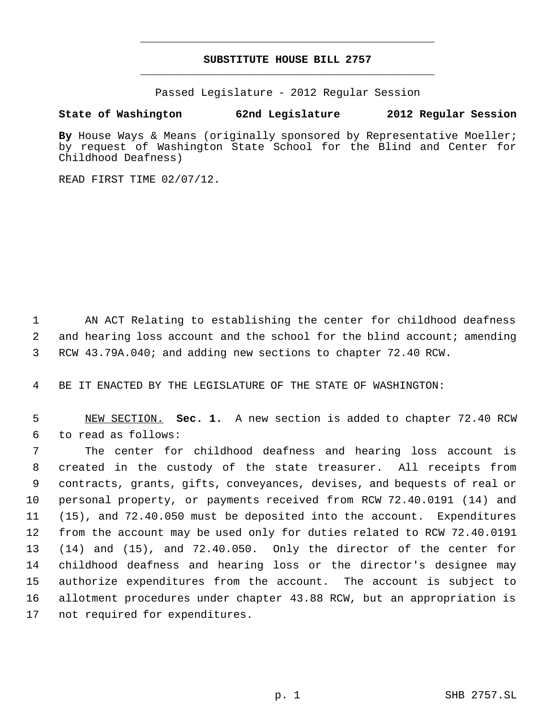# **SUBSTITUTE HOUSE BILL 2757** \_\_\_\_\_\_\_\_\_\_\_\_\_\_\_\_\_\_\_\_\_\_\_\_\_\_\_\_\_\_\_\_\_\_\_\_\_\_\_\_\_\_\_\_\_

\_\_\_\_\_\_\_\_\_\_\_\_\_\_\_\_\_\_\_\_\_\_\_\_\_\_\_\_\_\_\_\_\_\_\_\_\_\_\_\_\_\_\_\_\_

Passed Legislature - 2012 Regular Session

# **State of Washington 62nd Legislature 2012 Regular Session**

By House Ways & Means (originally sponsored by Representative Moeller; by request of Washington State School for the Blind and Center for Childhood Deafness)

READ FIRST TIME 02/07/12.

 1 AN ACT Relating to establishing the center for childhood deafness 2 and hearing loss account and the school for the blind account; amending 3 RCW 43.79A.040; and adding new sections to chapter 72.40 RCW.

4 BE IT ENACTED BY THE LEGISLATURE OF THE STATE OF WASHINGTON:

 5 NEW SECTION. **Sec. 1.** A new section is added to chapter 72.40 RCW 6 to read as follows:

 The center for childhood deafness and hearing loss account is created in the custody of the state treasurer. All receipts from contracts, grants, gifts, conveyances, devises, and bequests of real or personal property, or payments received from RCW 72.40.0191 (14) and (15), and 72.40.050 must be deposited into the account. Expenditures from the account may be used only for duties related to RCW 72.40.0191 (14) and (15), and 72.40.050. Only the director of the center for childhood deafness and hearing loss or the director's designee may authorize expenditures from the account. The account is subject to allotment procedures under chapter 43.88 RCW, but an appropriation is not required for expenditures.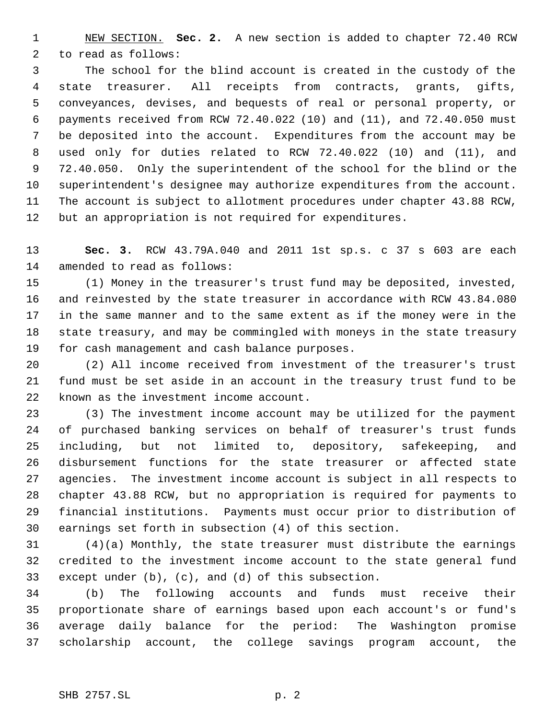NEW SECTION. **Sec. 2.** A new section is added to chapter 72.40 RCW to read as follows:

 The school for the blind account is created in the custody of the state treasurer. All receipts from contracts, grants, gifts, conveyances, devises, and bequests of real or personal property, or payments received from RCW 72.40.022 (10) and (11), and 72.40.050 must be deposited into the account. Expenditures from the account may be used only for duties related to RCW 72.40.022 (10) and (11), and 72.40.050. Only the superintendent of the school for the blind or the superintendent's designee may authorize expenditures from the account. The account is subject to allotment procedures under chapter 43.88 RCW, but an appropriation is not required for expenditures.

 **Sec. 3.** RCW 43.79A.040 and 2011 1st sp.s. c 37 s 603 are each amended to read as follows:

 (1) Money in the treasurer's trust fund may be deposited, invested, and reinvested by the state treasurer in accordance with RCW 43.84.080 in the same manner and to the same extent as if the money were in the state treasury, and may be commingled with moneys in the state treasury for cash management and cash balance purposes.

 (2) All income received from investment of the treasurer's trust fund must be set aside in an account in the treasury trust fund to be known as the investment income account.

 (3) The investment income account may be utilized for the payment of purchased banking services on behalf of treasurer's trust funds including, but not limited to, depository, safekeeping, and disbursement functions for the state treasurer or affected state agencies. The investment income account is subject in all respects to chapter 43.88 RCW, but no appropriation is required for payments to financial institutions. Payments must occur prior to distribution of earnings set forth in subsection (4) of this section.

 (4)(a) Monthly, the state treasurer must distribute the earnings credited to the investment income account to the state general fund except under (b), (c), and (d) of this subsection.

 (b) The following accounts and funds must receive their proportionate share of earnings based upon each account's or fund's average daily balance for the period: The Washington promise scholarship account, the college savings program account, the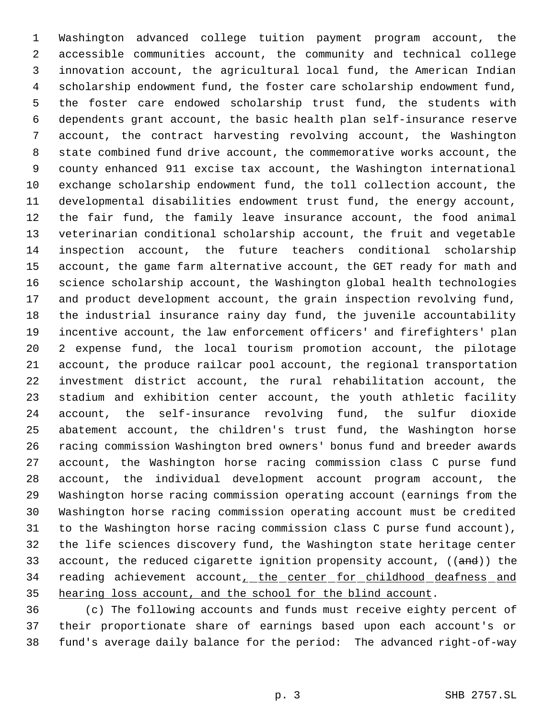Washington advanced college tuition payment program account, the accessible communities account, the community and technical college innovation account, the agricultural local fund, the American Indian scholarship endowment fund, the foster care scholarship endowment fund, the foster care endowed scholarship trust fund, the students with dependents grant account, the basic health plan self-insurance reserve account, the contract harvesting revolving account, the Washington state combined fund drive account, the commemorative works account, the county enhanced 911 excise tax account, the Washington international exchange scholarship endowment fund, the toll collection account, the developmental disabilities endowment trust fund, the energy account, the fair fund, the family leave insurance account, the food animal veterinarian conditional scholarship account, the fruit and vegetable inspection account, the future teachers conditional scholarship account, the game farm alternative account, the GET ready for math and science scholarship account, the Washington global health technologies and product development account, the grain inspection revolving fund, the industrial insurance rainy day fund, the juvenile accountability incentive account, the law enforcement officers' and firefighters' plan 2 expense fund, the local tourism promotion account, the pilotage account, the produce railcar pool account, the regional transportation investment district account, the rural rehabilitation account, the stadium and exhibition center account, the youth athletic facility account, the self-insurance revolving fund, the sulfur dioxide abatement account, the children's trust fund, the Washington horse racing commission Washington bred owners' bonus fund and breeder awards account, the Washington horse racing commission class C purse fund account, the individual development account program account, the Washington horse racing commission operating account (earnings from the Washington horse racing commission operating account must be credited to the Washington horse racing commission class C purse fund account), the life sciences discovery fund, the Washington state heritage center 33 account, the reduced cigarette ignition propensity account, ((and)) the 34 reading achievement account\_the center for childhood deafness and 35 hearing loss account, and the school for the blind account.

 (c) The following accounts and funds must receive eighty percent of their proportionate share of earnings based upon each account's or fund's average daily balance for the period: The advanced right-of-way